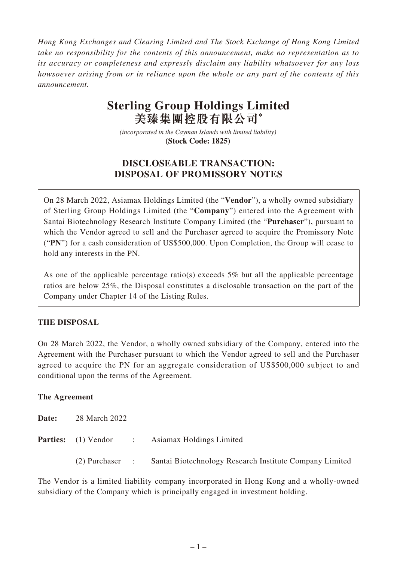*Hong Kong Exchanges and Clearing Limited and The Stock Exchange of Hong Kong Limited take no responsibility for the contents of this announcement, make no representation as to its accuracy or completeness and expressly disclaim any liability whatsoever for any loss howsoever arising from or in reliance upon the whole or any part of the contents of this announcement.*

# **Sterling Group Holdings Limited 美臻集團控股有限公司\***

*(incorporated in the Cayman Islands with limited liability)*  **(Stock Code: 1825)** 

## **DISCLOSEABLE TRANSACTION: DISPOSAL OF PROMISSORY NOTES**

On 28 March 2022, Asiamax Holdings Limited (the "**Vendor**"), a wholly owned subsidiary of Sterling Group Holdings Limited (the "**Company**") entered into the Agreement with Santai Biotechnology Research Institute Company Limited (the "**Purchaser**"), pursuant to which the Vendor agreed to sell and the Purchaser agreed to acquire the Promissory Note ("**PN**") for a cash consideration of US\$500,000. Upon Completion, the Group will cease to hold any interests in the PN.

As one of the applicable percentage ratio(s) exceeds 5% but all the applicable percentage ratios are below 25%, the Disposal constitutes a disclosable transaction on the part of the Company under Chapter 14 of the Listing Rules.

## **THE DISPOSAL**

On 28 March 2022, the Vendor, a wholly owned subsidiary of the Company, entered into the Agreement with the Purchaser pursuant to which the Vendor agreed to sell and the Purchaser agreed to acquire the PN for an aggregate consideration of US\$500,000 subject to and conditional upon the terms of the Agreement.

#### **The Agreement**

| Date: | 28 March 2022 |  |                                                                         |
|-------|---------------|--|-------------------------------------------------------------------------|
|       |               |  | <b>Parties:</b> (1) Vendor : Asiamax Holdings Limited                   |
|       |               |  | (2) Purchaser : Santai Biotechnology Research Institute Company Limited |

The Vendor is a limited liability company incorporated in Hong Kong and a wholly-owned subsidiary of the Company which is principally engaged in investment holding.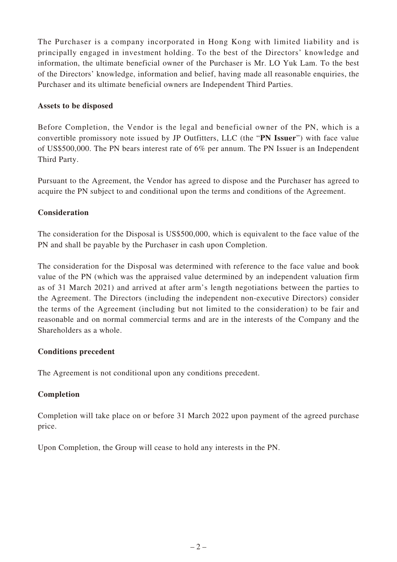The Purchaser is a company incorporated in Hong Kong with limited liability and is principally engaged in investment holding. To the best of the Directors' knowledge and information, the ultimate beneficial owner of the Purchaser is Mr. LO Yuk Lam. To the best of the Directors' knowledge, information and belief, having made all reasonable enquiries, the Purchaser and its ultimate beneficial owners are Independent Third Parties.

#### **Assets to be disposed**

Before Completion, the Vendor is the legal and beneficial owner of the PN, which is a convertible promissory note issued by JP Outfitters, LLC (the "**PN Issuer**") with face value of US\$500,000. The PN bears interest rate of 6% per annum. The PN Issuer is an Independent Third Party.

Pursuant to the Agreement, the Vendor has agreed to dispose and the Purchaser has agreed to acquire the PN subject to and conditional upon the terms and conditions of the Agreement.

## **Consideration**

The consideration for the Disposal is US\$500,000, which is equivalent to the face value of the PN and shall be payable by the Purchaser in cash upon Completion.

The consideration for the Disposal was determined with reference to the face value and book value of the PN (which was the appraised value determined by an independent valuation firm as of 31 March 2021) and arrived at after arm's length negotiations between the parties to the Agreement. The Directors (including the independent non-executive Directors) consider the terms of the Agreement (including but not limited to the consideration) to be fair and reasonable and on normal commercial terms and are in the interests of the Company and the Shareholders as a whole.

#### **Conditions precedent**

The Agreement is not conditional upon any conditions precedent.

## **Completion**

Completion will take place on or before 31 March 2022 upon payment of the agreed purchase price.

Upon Completion, the Group will cease to hold any interests in the PN.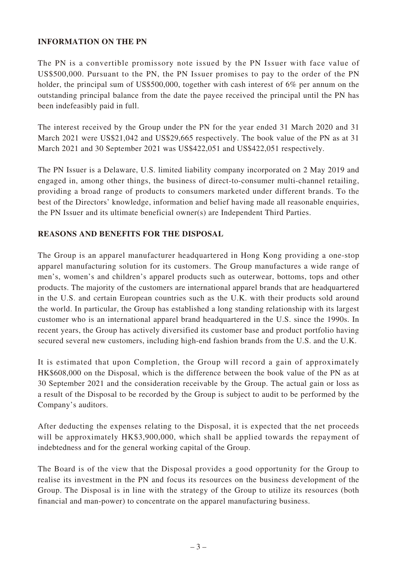#### **INFORMATION ON THE PN**

The PN is a convertible promissory note issued by the PN Issuer with face value of US\$500,000. Pursuant to the PN, the PN Issuer promises to pay to the order of the PN holder, the principal sum of US\$500,000, together with cash interest of 6% per annum on the outstanding principal balance from the date the payee received the principal until the PN has been indefeasibly paid in full.

The interest received by the Group under the PN for the year ended 31 March 2020 and 31 March 2021 were US\$21,042 and US\$29,665 respectively. The book value of the PN as at 31 March 2021 and 30 September 2021 was US\$422,051 and US\$422,051 respectively.

The PN Issuer is a Delaware, U.S. limited liability company incorporated on 2 May 2019 and engaged in, among other things, the business of direct-to-consumer multi-channel retailing, providing a broad range of products to consumers marketed under different brands. To the best of the Directors' knowledge, information and belief having made all reasonable enquiries, the PN Issuer and its ultimate beneficial owner(s) are Independent Third Parties.

#### **REASONS AND BENEFITS FOR THE DISPOSAL**

The Group is an apparel manufacturer headquartered in Hong Kong providing a one-stop apparel manufacturing solution for its customers. The Group manufactures a wide range of men's, women's and children's apparel products such as outerwear, bottoms, tops and other products. The majority of the customers are international apparel brands that are headquartered in the U.S. and certain European countries such as the U.K. with their products sold around the world. In particular, the Group has established a long standing relationship with its largest customer who is an international apparel brand headquartered in the U.S. since the 1990s. In recent years, the Group has actively diversified its customer base and product portfolio having secured several new customers, including high-end fashion brands from the U.S. and the U.K.

It is estimated that upon Completion, the Group will record a gain of approximately HK\$608,000 on the Disposal, which is the difference between the book value of the PN as at 30 September 2021 and the consideration receivable by the Group. The actual gain or loss as a result of the Disposal to be recorded by the Group is subject to audit to be performed by the Company's auditors.

After deducting the expenses relating to the Disposal, it is expected that the net proceeds will be approximately HK\$3,900,000, which shall be applied towards the repayment of indebtedness and for the general working capital of the Group.

The Board is of the view that the Disposal provides a good opportunity for the Group to realise its investment in the PN and focus its resources on the business development of the Group. The Disposal is in line with the strategy of the Group to utilize its resources (both financial and man-power) to concentrate on the apparel manufacturing business.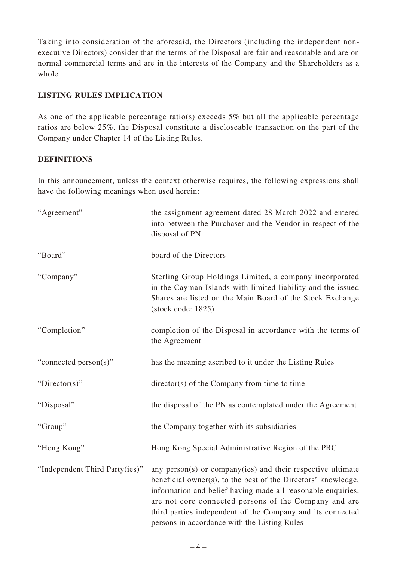Taking into consideration of the aforesaid, the Directors (including the independent nonexecutive Directors) consider that the terms of the Disposal are fair and reasonable and are on normal commercial terms and are in the interests of the Company and the Shareholders as a whole.

#### **LISTING RULES IMPLICATION**

As one of the applicable percentage ratio(s) exceeds 5% but all the applicable percentage ratios are below 25%, the Disposal constitute a discloseable transaction on the part of the Company under Chapter 14 of the Listing Rules.

#### **DEFINITIONS**

In this announcement, unless the context otherwise requires, the following expressions shall have the following meanings when used herein:

| "Agreement"                    | the assignment agreement dated 28 March 2022 and entered<br>into between the Purchaser and the Vendor in respect of the<br>disposal of PN                                                                                                                                                                                                                           |
|--------------------------------|---------------------------------------------------------------------------------------------------------------------------------------------------------------------------------------------------------------------------------------------------------------------------------------------------------------------------------------------------------------------|
| "Board"                        | board of the Directors                                                                                                                                                                                                                                                                                                                                              |
| "Company"                      | Sterling Group Holdings Limited, a company incorporated<br>in the Cayman Islands with limited liability and the issued<br>Shares are listed on the Main Board of the Stock Exchange<br>$(\text{stock code}: 1825)$                                                                                                                                                  |
| "Completion"                   | completion of the Disposal in accordance with the terms of<br>the Agreement                                                                                                                                                                                                                                                                                         |
| "connected person(s)"          | has the meaning ascribed to it under the Listing Rules                                                                                                                                                                                                                                                                                                              |
| "Director(s)"                  | $\text{directory}(s)$ of the Company from time to time                                                                                                                                                                                                                                                                                                              |
| "Disposal"                     | the disposal of the PN as contemplated under the Agreement                                                                                                                                                                                                                                                                                                          |
| "Group"                        | the Company together with its subsidiaries                                                                                                                                                                                                                                                                                                                          |
| "Hong Kong"                    | Hong Kong Special Administrative Region of the PRC                                                                                                                                                                                                                                                                                                                  |
| "Independent Third Party(ies)" | any person(s) or company(ies) and their respective ultimate<br>beneficial owner(s), to the best of the Directors' knowledge,<br>information and belief having made all reasonable enquiries,<br>are not core connected persons of the Company and are<br>third parties independent of the Company and its connected<br>persons in accordance with the Listing Rules |